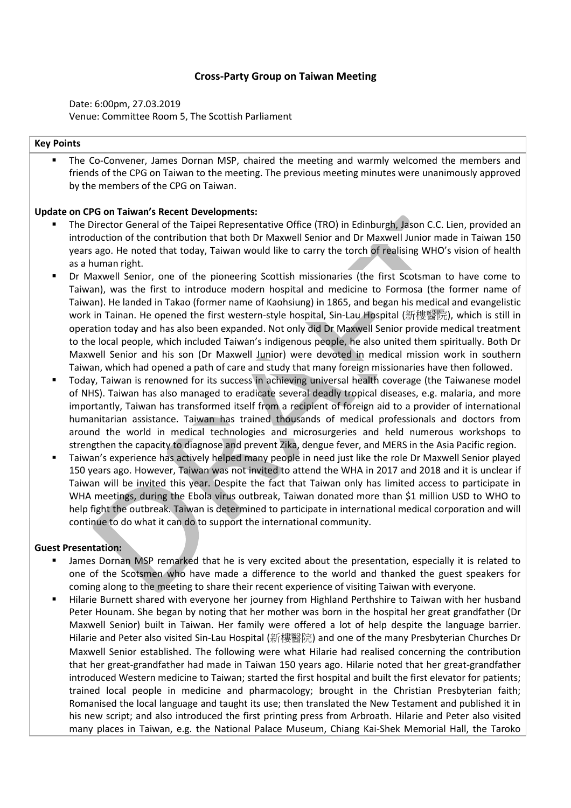# **Cross-Party Group on Taiwan Meeting**

Date: 6:00pm, 27.03.2019 Venue: Committee Room 5, The Scottish Parliament

## **Key Points**

The Co-Convener, James Dornan MSP, chaired the meeting and warmly welcomed the members and friends of the CPG on Taiwan to the meeting. The previous meeting minutes were unanimously approved by the members of the CPG on Taiwan.

#### **Update on CPG on Taiwan's Recent Developments:**

- The Director General of the Taipei Representative Office (TRO) in Edinburgh, Jason C.C. Lien, provided an introduction of the contribution that both Dr Maxwell Senior and Dr Maxwell Junior made in Taiwan 150 years ago. He noted that today, Taiwan would like to carry the torch of realising WHO's vision of health as a human right.
- Dr Maxwell Senior, one of the pioneering Scottish missionaries (the first Scotsman to have come to Taiwan), was the first to introduce modern hospital and medicine to Formosa (the former name of Taiwan). He landed in Takao (former name of Kaohsiung) in 1865, and began his medical and evangelistic work in Tainan. He opened the first western-style hospital, Sin-Lau Hospital (新樓醫院), which is still in operation today and has also been expanded. Not only did Dr Maxwell Senior provide medical treatment to the local people, which included Taiwan's indigenous people, he also united them spiritually. Both Dr Maxwell Senior and his son (Dr Maxwell Junior) were devoted in medical mission work in southern Taiwan, which had opened a path of care and study that many foreign missionaries have then followed.
- Today, Taiwan is renowned for its success in achieving universal health coverage (the Taiwanese model of NHS). Taiwan has also managed to eradicate several deadly tropical diseases, e.g. malaria, and more importantly, Taiwan has transformed itself from a recipient of foreign aid to a provider of international humanitarian assistance. Taiwan has trained thousands of medical professionals and doctors from around the world in medical technologies and microsurgeries and held numerous workshops to strengthen the capacity to diagnose and prevent Zika, dengue fever, and MERS in the Asia Pacific region.
- Taiwan's experience has actively helped many people in need just like the role Dr Maxwell Senior played 150 years ago. However, Taiwan was not invited to attend the WHA in 2017 and 2018 and it is unclear if Taiwan will be invited this year. Despite the fact that Taiwan only has limited access to participate in WHA meetings, during the Ebola virus outbreak, Taiwan donated more than \$1 million USD to WHO to help fight the outbreak. Taiwan is determined to participate in international medical corporation and will continue to do what it can do to support the international community.

#### **Guest Presentation:**

- James Dornan MSP remarked that he is very excited about the presentation, especially it is related to one of the Scotsmen who have made a difference to the world and thanked the guest speakers for coming along to the meeting to share their recent experience of visiting Taiwan with everyone.
- Hilarie Burnett shared with everyone her journey from Highland Perthshire to Taiwan with her husband Peter Hounam. She began by noting that her mother was born in the hospital her great grandfather (Dr Maxwell Senior) built in Taiwan. Her family were offered a lot of help despite the language barrier. Hilarie and Peter also visited Sin-Lau Hospital (新樓醫院) and one of the many Presbyterian Churches Dr Maxwell Senior established. The following were what Hilarie had realised concerning the contribution that her great-grandfather had made in Taiwan 150 years ago. Hilarie noted that her great-grandfather introduced Western medicine to Taiwan; started the first hospital and built the first elevator for patients; trained local people in medicine and pharmacology; brought in the Christian Presbyterian faith; Romanised the local language and taught its use; then translated the New Testament and published it in his new script; and also introduced the first printing press from Arbroath. Hilarie and Peter also visited many places in Taiwan, e.g. the National Palace Museum, Chiang Kai-Shek Memorial Hall, the Taroko